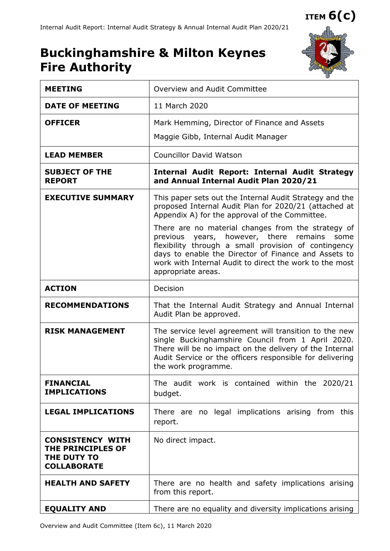# **Buckinghamshire & Milton Keynes Fire Authority**



| <b>MEETING</b>                                                                    | Overview and Audit Committee                                                                                                                                                                                                                                                                             |  |  |  |  |  |
|-----------------------------------------------------------------------------------|----------------------------------------------------------------------------------------------------------------------------------------------------------------------------------------------------------------------------------------------------------------------------------------------------------|--|--|--|--|--|
| <b>DATE OF MEETING</b>                                                            | 11 March 2020                                                                                                                                                                                                                                                                                            |  |  |  |  |  |
| <b>OFFICER</b>                                                                    | Mark Hemming, Director of Finance and Assets                                                                                                                                                                                                                                                             |  |  |  |  |  |
|                                                                                   | Maggie Gibb, Internal Audit Manager                                                                                                                                                                                                                                                                      |  |  |  |  |  |
| <b>LEAD MEMBER</b>                                                                | <b>Councillor David Watson</b>                                                                                                                                                                                                                                                                           |  |  |  |  |  |
| <b>SUBJECT OF THE</b><br><b>REPORT</b>                                            | <b>Internal Audit Report: Internal Audit Strategy</b><br>and Annual Internal Audit Plan 2020/21                                                                                                                                                                                                          |  |  |  |  |  |
| <b>EXECUTIVE SUMMARY</b>                                                          | This paper sets out the Internal Audit Strategy and the<br>proposed Internal Audit Plan for 2020/21 (attached at<br>Appendix A) for the approval of the Committee.                                                                                                                                       |  |  |  |  |  |
|                                                                                   | There are no material changes from the strategy of<br>previous years, however, there<br>remains<br>some<br>flexibility through a small provision of contingency<br>days to enable the Director of Finance and Assets to<br>work with Internal Audit to direct the work to the most<br>appropriate areas. |  |  |  |  |  |
| <b>ACTION</b>                                                                     | Decision                                                                                                                                                                                                                                                                                                 |  |  |  |  |  |
| <b>RECOMMENDATIONS</b>                                                            | That the Internal Audit Strategy and Annual Internal<br>Audit Plan be approved.                                                                                                                                                                                                                          |  |  |  |  |  |
| <b>RISK MANAGEMENT</b>                                                            | The service level agreement will transition to the new<br>single Buckinghamshire Council from 1 April 2020.<br>There will be no impact on the delivery of the Internal<br>Audit Service or the officers responsible for delivering<br>the work programme.                                                |  |  |  |  |  |
| <b>FINANCIAL</b><br><b>IMPLICATIONS</b>                                           | The audit work is contained within the 2020/21<br>budget.                                                                                                                                                                                                                                                |  |  |  |  |  |
| <b>LEGAL IMPLICATIONS</b>                                                         | There are no legal implications arising from this<br>report.                                                                                                                                                                                                                                             |  |  |  |  |  |
| <b>CONSISTENCY WITH</b><br>THE PRINCIPLES OF<br>THE DUTY TO<br><b>COLLABORATE</b> | No direct impact.                                                                                                                                                                                                                                                                                        |  |  |  |  |  |
| <b>HEALTH AND SAFETY</b>                                                          | There are no health and safety implications arising<br>from this report.                                                                                                                                                                                                                                 |  |  |  |  |  |
| <b>EQUALITY AND</b>                                                               | There are no equality and diversity implications arising                                                                                                                                                                                                                                                 |  |  |  |  |  |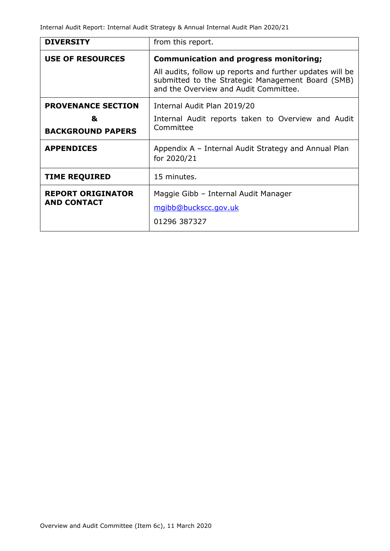| <b>DIVERSITY</b>          | from this report.                                                                                                                                       |  |  |  |  |
|---------------------------|---------------------------------------------------------------------------------------------------------------------------------------------------------|--|--|--|--|
| <b>USE OF RESOURCES</b>   | <b>Communication and progress monitoring;</b>                                                                                                           |  |  |  |  |
|                           | All audits, follow up reports and further updates will be<br>submitted to the Strategic Management Board (SMB)<br>and the Overview and Audit Committee. |  |  |  |  |
| <b>PROVENANCE SECTION</b> | Internal Audit Plan 2019/20                                                                                                                             |  |  |  |  |
| &                         | Internal Audit reports taken to Overview and Audit                                                                                                      |  |  |  |  |
| <b>BACKGROUND PAPERS</b>  | Committee                                                                                                                                               |  |  |  |  |
| <b>APPENDICES</b>         | Appendix A - Internal Audit Strategy and Annual Plan<br>for 2020/21                                                                                     |  |  |  |  |
| <b>TIME REQUIRED</b>      | 15 minutes.                                                                                                                                             |  |  |  |  |
| <b>REPORT ORIGINATOR</b>  | Maggie Gibb - Internal Audit Manager                                                                                                                    |  |  |  |  |
| <b>AND CONTACT</b>        | mgibb@buckscc.gov.uk                                                                                                                                    |  |  |  |  |
|                           | 01296 387327                                                                                                                                            |  |  |  |  |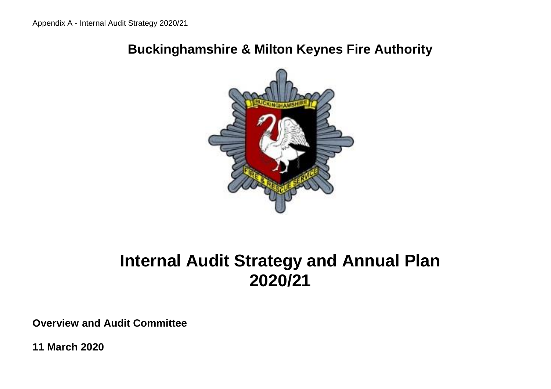## **Buckinghamshire & Milton Keynes Fire Authority**



# **Internal Audit Strategy and Annual Plan 2020/21**

**Overview and Audit Committee**

**11 March 2020**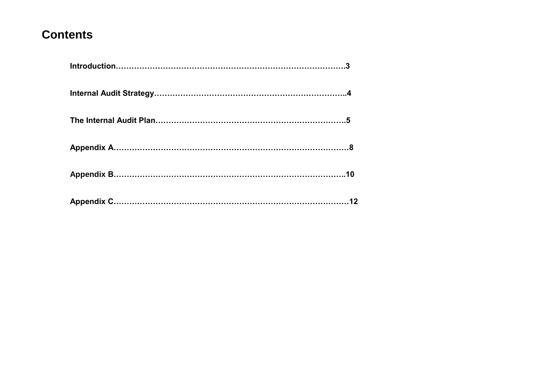## **Contents**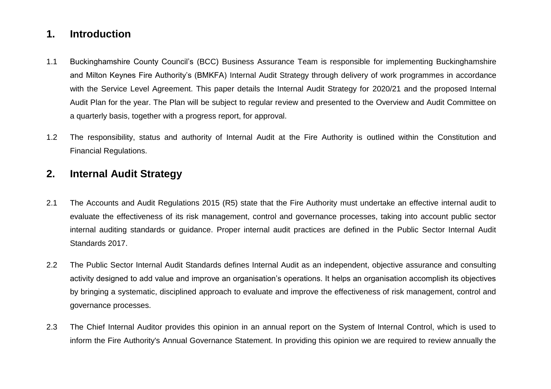### **1. Introduction**

- 1.1 Buckinghamshire County Council's (BCC) Business Assurance Team is responsible for implementing Buckinghamshire and Milton Keynes Fire Authority's (BMKFA) Internal Audit Strategy through delivery of work programmes in accordance with the Service Level Agreement. This paper details the Internal Audit Strategy for 2020/21 and the proposed Internal Audit Plan for the year. The Plan will be subject to regular review and presented to the Overview and Audit Committee on a quarterly basis, together with a progress report, for approval.
- 1.2 The responsibility, status and authority of Internal Audit at the Fire Authority is outlined within the Constitution and Financial Regulations.

#### **2. Internal Audit Strategy**

- 2.1 The Accounts and Audit Regulations 2015 (R5) state that the Fire Authority must undertake an effective internal audit to evaluate the effectiveness of its risk management, control and governance processes, taking into account public sector internal auditing standards or guidance. Proper internal audit practices are defined in the Public Sector Internal Audit Standards 2017.
- 2.2 The Public Sector Internal Audit Standards defines Internal Audit as an independent, objective assurance and consulting activity designed to add value and improve an organisation's operations. It helps an organisation accomplish its objectives by bringing a systematic, disciplined approach to evaluate and improve the effectiveness of risk management, control and governance processes.
- 2.3 The Chief Internal Auditor provides this opinion in an annual report on the System of Internal Control, which is used to inform the Fire Authority's Annual Governance Statement. In providing this opinion we are required to review annually the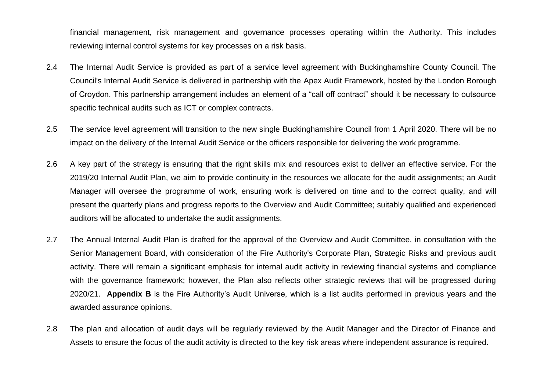financial management, risk management and governance processes operating within the Authority. This includes reviewing internal control systems for key processes on a risk basis.

- 2.4 The Internal Audit Service is provided as part of a service level agreement with Buckinghamshire County Council. The Council's Internal Audit Service is delivered in partnership with the Apex Audit Framework, hosted by the London Borough of Croydon. This partnership arrangement includes an element of a "call off contract" should it be necessary to outsource specific technical audits such as ICT or complex contracts.
- 2.5 The service level agreement will transition to the new single Buckinghamshire Council from 1 April 2020. There will be no impact on the delivery of the Internal Audit Service or the officers responsible for delivering the work programme.
- 2.6 A key part of the strategy is ensuring that the right skills mix and resources exist to deliver an effective service. For the 2019/20 Internal Audit Plan, we aim to provide continuity in the resources we allocate for the audit assignments; an Audit Manager will oversee the programme of work, ensuring work is delivered on time and to the correct quality, and will present the quarterly plans and progress reports to the Overview and Audit Committee; suitably qualified and experienced auditors will be allocated to undertake the audit assignments.
- 2.7 The Annual Internal Audit Plan is drafted for the approval of the Overview and Audit Committee, in consultation with the Senior Management Board, with consideration of the Fire Authority's Corporate Plan, Strategic Risks and previous audit activity. There will remain a significant emphasis for internal audit activity in reviewing financial systems and compliance with the governance framework; however, the Plan also reflects other strategic reviews that will be progressed during 2020/21. **Appendix B** is the Fire Authority's Audit Universe, which is a list audits performed in previous years and the awarded assurance opinions.
- 2.8 The plan and allocation of audit days will be regularly reviewed by the Audit Manager and the Director of Finance and Assets to ensure the focus of the audit activity is directed to the key risk areas where independent assurance is required.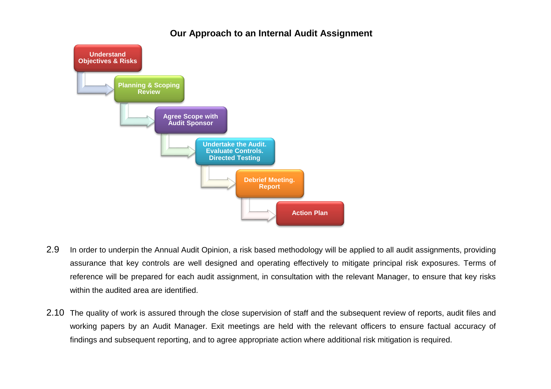#### **Our Approach to an Internal Audit Assignment**



- 2.9 In order to underpin the Annual Audit Opinion, a risk based methodology will be applied to all audit assignments, providing assurance that key controls are well designed and operating effectively to mitigate principal risk exposures. Terms of reference will be prepared for each audit assignment, in consultation with the relevant Manager, to ensure that key risks within the audited area are identified.
- 2.10 The quality of work is assured through the close supervision of staff and the subsequent review of reports, audit files and working papers by an Audit Manager. Exit meetings are held with the relevant officers to ensure factual accuracy of findings and subsequent reporting, and to agree appropriate action where additional risk mitigation is required.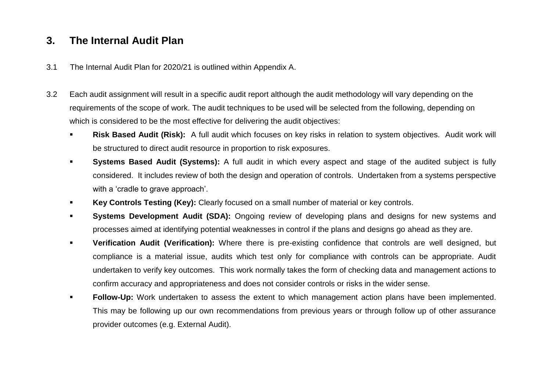## **3. The Internal Audit Plan**

- 3.1 The Internal Audit Plan for 2020/21 is outlined within Appendix A.
- 3.2 Each audit assignment will result in a specific audit report although the audit methodology will vary depending on the requirements of the scope of work. The audit techniques to be used will be selected from the following, depending on which is considered to be the most effective for delivering the audit objectives:
	- **Risk Based Audit (Risk):** A full audit which focuses on key risks in relation to system objectives. Audit work will be structured to direct audit resource in proportion to risk exposures.
	- **Systems Based Audit (Systems):** A full audit in which every aspect and stage of the audited subject is fully considered. It includes review of both the design and operation of controls. Undertaken from a systems perspective with a 'cradle to grave approach'.
	- **Key Controls Testing (Key):** Clearly focused on a small number of material or key controls.
	- **Systems Development Audit (SDA):** Ongoing review of developing plans and designs for new systems and processes aimed at identifying potential weaknesses in control if the plans and designs go ahead as they are.
	- **Verification Audit (Verification):** Where there is pre-existing confidence that controls are well designed, but compliance is a material issue, audits which test only for compliance with controls can be appropriate. Audit undertaken to verify key outcomes. This work normally takes the form of checking data and management actions to confirm accuracy and appropriateness and does not consider controls or risks in the wider sense.
	- **Follow-Up:** Work undertaken to assess the extent to which management action plans have been implemented. This may be following up our own recommendations from previous years or through follow up of other assurance provider outcomes (e.g. External Audit).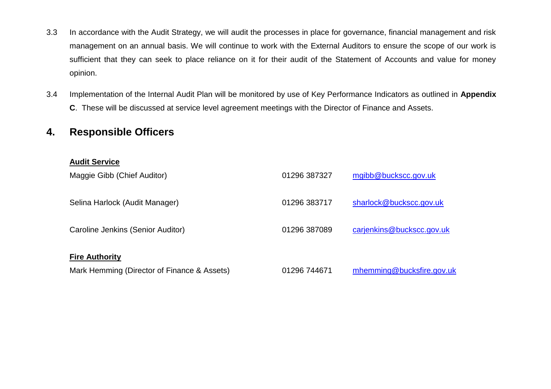- 3.3 In accordance with the Audit Strategy, we will audit the processes in place for governance, financial management and risk management on an annual basis. We will continue to work with the External Auditors to ensure the scope of our work is sufficient that they can seek to place reliance on it for their audit of the Statement of Accounts and value for money opinion.
- 3.4 Implementation of the Internal Audit Plan will be monitored by use of Key Performance Indicators as outlined in **Appendix C**. These will be discussed at service level agreement meetings with the Director of Finance and Assets.

#### **4. Responsible Officers**

#### **Audit Service**

| Maggie Gibb (Chief Auditor)                 | 01296 387327 | mgibb@buckscc.gov.uk      |
|---------------------------------------------|--------------|---------------------------|
| Selina Harlock (Audit Manager)              | 01296 383717 | sharlock@buckscc.gov.uk   |
| Caroline Jenkins (Senior Auditor)           | 01296 387089 | carjenkins@buckscc.gov.uk |
| <b>Fire Authority</b>                       |              |                           |
| Mark Hemming (Director of Finance & Assets) | 01296 744671 | mhemming@bucksfire.gov.uk |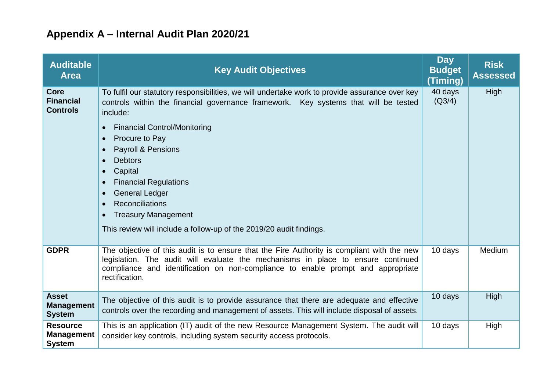## **Appendix A – Internal Audit Plan 2020/21**

| <b>Auditable</b><br><b>Area</b>                       | <b>Key Audit Objectives</b>                                                                                                                                                                                                                                                                                                                                                                                                                                                                                                                                                                                                | <b>Day</b><br><b>Budget</b><br>(Timing) | <b>Risk</b><br><b>Assessed</b> |
|-------------------------------------------------------|----------------------------------------------------------------------------------------------------------------------------------------------------------------------------------------------------------------------------------------------------------------------------------------------------------------------------------------------------------------------------------------------------------------------------------------------------------------------------------------------------------------------------------------------------------------------------------------------------------------------------|-----------------------------------------|--------------------------------|
| <b>Core</b><br><b>Financial</b><br><b>Controls</b>    | To fulfil our statutory responsibilities, we will undertake work to provide assurance over key<br>controls within the financial governance framework. Key systems that will be tested<br>include:<br><b>Financial Control/Monitoring</b><br>$\bullet$<br>Procure to Pay<br>$\bullet$<br>Payroll & Pensions<br>$\bullet$<br><b>Debtors</b><br>$\bullet$<br>Capital<br>$\bullet$<br><b>Financial Regulations</b><br>$\bullet$<br><b>General Ledger</b><br>$\bullet$<br><b>Reconciliations</b><br>$\bullet$<br><b>Treasury Management</b><br>$\bullet$<br>This review will include a follow-up of the 2019/20 audit findings. | 40 days<br>(Q3/4)                       | High                           |
| <b>GDPR</b>                                           | The objective of this audit is to ensure that the Fire Authority is compliant with the new<br>legislation. The audit will evaluate the mechanisms in place to ensure continued<br>compliance and identification on non-compliance to enable prompt and appropriate<br>rectification.                                                                                                                                                                                                                                                                                                                                       | 10 days                                 | Medium                         |
| <b>Asset</b><br><b>Management</b><br><b>System</b>    | The objective of this audit is to provide assurance that there are adequate and effective<br>controls over the recording and management of assets. This will include disposal of assets.                                                                                                                                                                                                                                                                                                                                                                                                                                   | 10 days                                 | High                           |
| <b>Resource</b><br><b>Management</b><br><b>System</b> | This is an application (IT) audit of the new Resource Management System. The audit will<br>consider key controls, including system security access protocols.                                                                                                                                                                                                                                                                                                                                                                                                                                                              | 10 days                                 | High                           |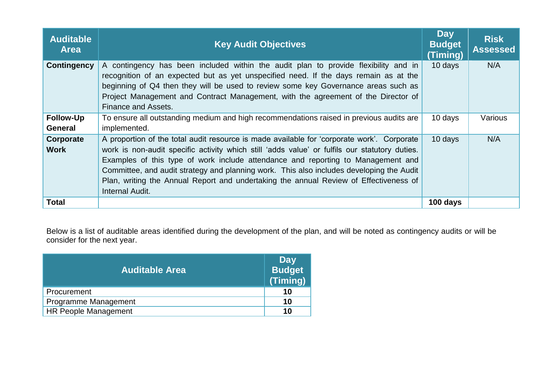| <b>Auditable</b><br><b>Area</b> | <b>Key Audit Objectives</b>                                                                                                                                                                                                                                                                                                                                                                                                                                                             | <b>Day</b><br><b>Budget</b><br>(Timing) | <b>Risk</b><br><b>Assessed</b> |
|---------------------------------|-----------------------------------------------------------------------------------------------------------------------------------------------------------------------------------------------------------------------------------------------------------------------------------------------------------------------------------------------------------------------------------------------------------------------------------------------------------------------------------------|-----------------------------------------|--------------------------------|
| <b>Contingency</b>              | A contingency has been included within the audit plan to provide flexibility and in<br>recognition of an expected but as yet unspecified need. If the days remain as at the<br>beginning of Q4 then they will be used to review some key Governance areas such as<br>Project Management and Contract Management, with the agreement of the Director of<br>Finance and Assets.                                                                                                           | 10 days                                 | N/A                            |
| <b>Follow-Up</b><br>General     | To ensure all outstanding medium and high recommendations raised in previous audits are<br>implemented.                                                                                                                                                                                                                                                                                                                                                                                 | 10 days                                 | Various                        |
| Corporate<br><b>Work</b>        | A proportion of the total audit resource is made available for 'corporate work'. Corporate<br>work is non-audit specific activity which still 'adds value' or fulfils our statutory duties.<br>Examples of this type of work include attendance and reporting to Management and<br>Committee, and audit strategy and planning work. This also includes developing the Audit<br>Plan, writing the Annual Report and undertaking the annual Review of Effectiveness of<br>Internal Audit. | 10 days                                 | N/A                            |
| <b>Total</b>                    |                                                                                                                                                                                                                                                                                                                                                                                                                                                                                         | 100 days                                |                                |

Below is a list of auditable areas identified during the development of the plan, and will be noted as contingency audits or will be consider for the next year.

| <b>Auditable Area</b>       | Day<br><b>Budget</b><br>(Timing) |
|-----------------------------|----------------------------------|
| Procurement                 | 10                               |
| Programme Management        | 10                               |
| <b>HR People Management</b> | 10                               |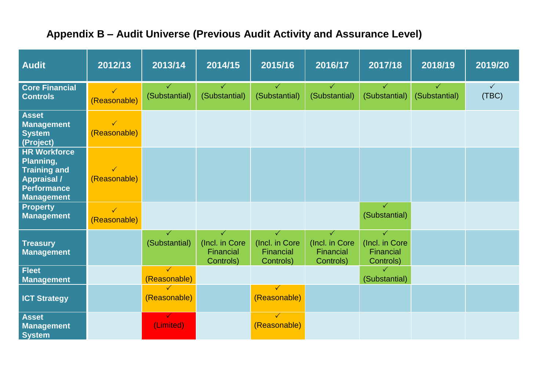## **Appendix B – Audit Universe (Previous Audit Activity and Assurance Level)**

| <b>Audit</b>                                                                                                             | 2012/13                      | 2013/14                       | 2014/15                                       | 2015/16                                       | 2016/17                                                  | 2017/18                                       | 2018/19                       | 2019/20               |
|--------------------------------------------------------------------------------------------------------------------------|------------------------------|-------------------------------|-----------------------------------------------|-----------------------------------------------|----------------------------------------------------------|-----------------------------------------------|-------------------------------|-----------------------|
| <b>Core Financial</b><br><b>Controls</b>                                                                                 | $\checkmark$<br>(Reasonable) | $\checkmark$<br>(Substantial) | $\checkmark$<br>(Substantial)                 | $\checkmark$<br>(Substantial)                 | $\checkmark$<br>(Substantial)                            | $\checkmark$<br>(Substantial)                 | $\checkmark$<br>(Substantial) | $\checkmark$<br>(TBC) |
| <b>Asset</b><br><b>Management</b><br><b>System</b><br>(Project)                                                          | $\checkmark$<br>(Reasonable) |                               |                                               |                                               |                                                          |                                               |                               |                       |
| <b>HR Workforce</b><br>Planning,<br><b>Training and</b><br><b>Appraisal /</b><br><b>Performance</b><br><b>Management</b> | $\checkmark$<br>(Reasonable) |                               |                                               |                                               |                                                          |                                               |                               |                       |
| <b>Property</b><br><b>Management</b>                                                                                     | $\checkmark$<br>(Reasonable) |                               |                                               |                                               |                                                          | ✓<br>(Substantial)                            |                               |                       |
| <b>Treasury</b><br><b>Management</b>                                                                                     |                              | ✓<br>(Substantial)            | ✓<br>(Incl. in Core<br>Financial<br>Controls) | ✓<br>(Incl. in Core<br>Financial<br>Controls) | $\checkmark$<br>(Incl. in Core<br>Financial<br>Controls) | ✓<br>(Incl. in Core<br>Financial<br>Controls) |                               |                       |
| <b>Fleet</b><br><b>Management</b>                                                                                        |                              | $\checkmark$<br>(Reasonable)  |                                               |                                               |                                                          | ✓<br>(Substantial)                            |                               |                       |
| <b>ICT Strategy</b>                                                                                                      |                              | $\checkmark$<br>(Reasonable)  |                                               | $\checkmark$<br>(Reasonable)                  |                                                          |                                               |                               |                       |
| <b>Asset</b><br><b>Management</b><br><b>System</b>                                                                       |                              | $\checkmark$<br>(Limited)     |                                               | $\checkmark$<br>(Reasonable)                  |                                                          |                                               |                               |                       |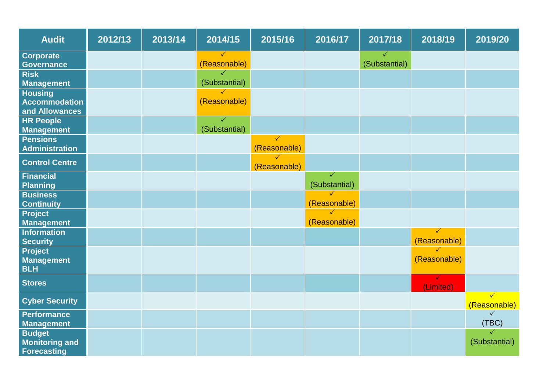| <b>Audit</b>                                                 | 2012/13 | 2013/14 | 2014/15                       | 2015/16                      | 2016/17                       | 2017/18                       | 2018/19                      | 2019/20                      |
|--------------------------------------------------------------|---------|---------|-------------------------------|------------------------------|-------------------------------|-------------------------------|------------------------------|------------------------------|
| <b>Corporate</b><br><b>Governance</b>                        |         |         | $\checkmark$<br>(Reasonable)  |                              |                               | $\checkmark$<br>(Substantial) |                              |                              |
| <b>Risk</b><br><b>Management</b>                             |         |         | $\checkmark$<br>(Substantial) |                              |                               |                               |                              |                              |
| <b>Housing</b><br><b>Accommodation</b><br>and Allowances     |         |         | $\checkmark$<br>(Reasonable)  |                              |                               |                               |                              |                              |
| <b>HR People</b><br><b>Management</b>                        |         |         | $\checkmark$<br>(Substantial) |                              |                               |                               |                              |                              |
| <b>Pensions</b><br><b>Administration</b>                     |         |         |                               | $\checkmark$<br>(Reasonable) |                               |                               |                              |                              |
| <b>Control Centre</b>                                        |         |         |                               | $\checkmark$<br>(Reasonable) |                               |                               |                              |                              |
| <b>Financial</b><br><b>Planning</b>                          |         |         |                               |                              | $\checkmark$<br>(Substantial) |                               |                              |                              |
| <b>Business</b><br><b>Continuity</b>                         |         |         |                               |                              | $\checkmark$<br>(Reasonable)  |                               |                              |                              |
| <b>Project</b><br><b>Management</b>                          |         |         |                               |                              | $\checkmark$<br>(Reasonable)  |                               |                              |                              |
| <b>Information</b><br><b>Security</b>                        |         |         |                               |                              |                               |                               | $\checkmark$<br>(Reasonable) |                              |
| <b>Project</b><br><b>Management</b><br><b>BLH</b>            |         |         |                               |                              |                               |                               | $\checkmark$<br>(Reasonable) |                              |
| <b>Stores</b>                                                |         |         |                               |                              |                               |                               | $\checkmark$<br>(Limited)    |                              |
| <b>Cyber Security</b>                                        |         |         |                               |                              |                               |                               |                              | $\checkmark$<br>(Reasonable) |
| <b>Performance</b><br><b>Management</b>                      |         |         |                               |                              |                               |                               |                              | $\checkmark$<br>(TBC)        |
| <b>Budget</b><br><b>Monitoring and</b><br><b>Forecasting</b> |         |         |                               |                              |                               |                               |                              | ✓<br>(Substantial)           |